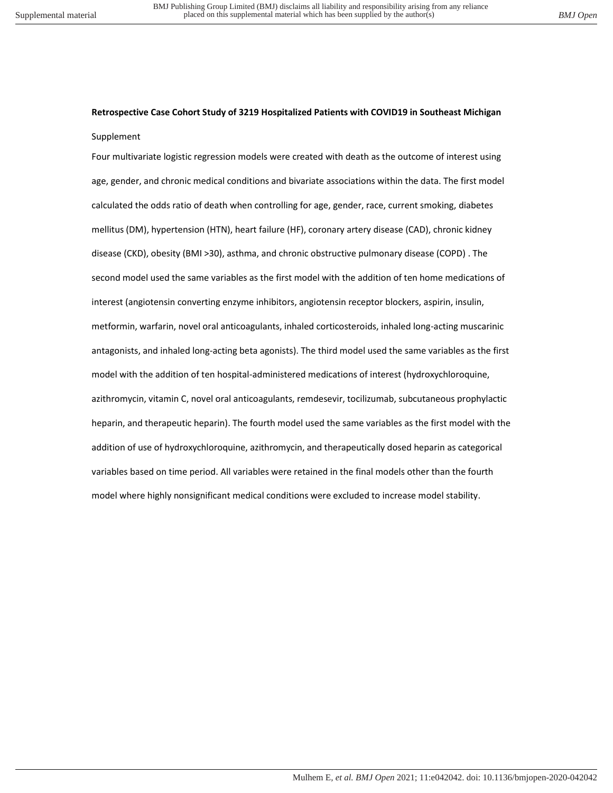## **Retrospective Case Cohort Study of 3219 Hospitalized Patients with COVID19 in Southeast Michigan**  Supplement

Four multivariate logistic regression models were created with death as the outcome of interest using age, gender, and chronic medical conditions and bivariate associations within the data. The first model calculated the odds ratio of death when controlling for age, gender, race, current smoking, diabetes mellitus (DM), hypertension (HTN), heart failure (HF), coronary artery disease (CAD), chronic kidney disease (CKD), obesity (BMI >30), asthma, and chronic obstructive pulmonary disease (COPD) . The second model used the same variables as the first model with the addition of ten home medications of interest (angiotensin converting enzyme inhibitors, angiotensin receptor blockers, aspirin, insulin, metformin, warfarin, novel oral anticoagulants, inhaled corticosteroids, inhaled long-acting muscarinic antagonists, and inhaled long-acting beta agonists). The third model used the same variables as the first model with the addition of ten hospital-administered medications of interest (hydroxychloroquine, azithromycin, vitamin C, novel oral anticoagulants, remdesevir, tocilizumab, subcutaneous prophylactic heparin, and therapeutic heparin). The fourth model used the same variables as the first model with the addition of use of hydroxychloroquine, azithromycin, and therapeutically dosed heparin as categorical variables based on time period. All variables were retained in the final models other than the fourth model where highly nonsignificant medical conditions were excluded to increase model stability.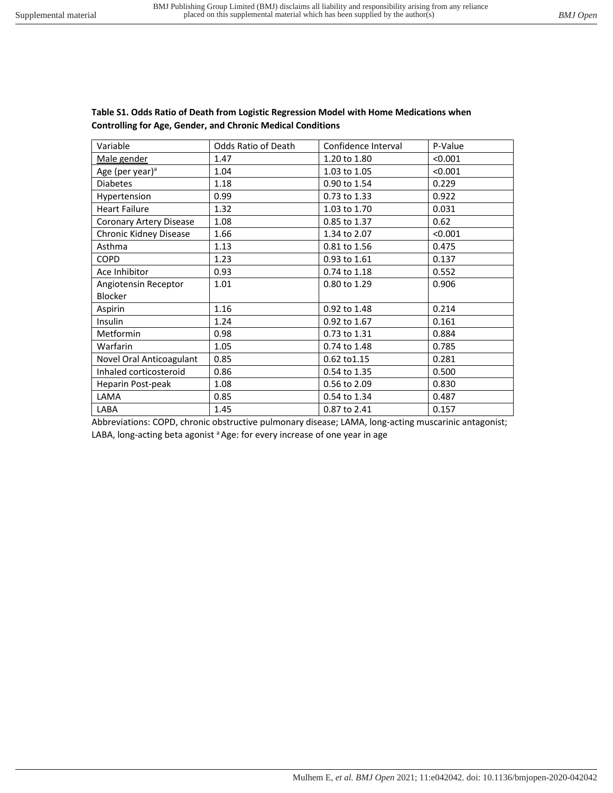| Variable                                                                                                         | Odds Ratio of Death | Confidence Interval | P-Value |
|------------------------------------------------------------------------------------------------------------------|---------------------|---------------------|---------|
| Male gender                                                                                                      | 1.47                | 1.20 to 1.80        | < 0.001 |
| Age (per year) <sup>a</sup>                                                                                      | 1.04                | 1.03 to 1.05        | < 0.001 |
| <b>Diabetes</b>                                                                                                  | 1.18                | 0.90 to 1.54        | 0.229   |
| Hypertension                                                                                                     | 0.99                | 0.73 to 1.33        | 0.922   |
| <b>Heart Failure</b>                                                                                             | 1.32                | 1.03 to 1.70        | 0.031   |
| <b>Coronary Artery Disease</b>                                                                                   | 1.08                | 0.85 to 1.37        | 0.62    |
| Chronic Kidney Disease                                                                                           | 1.66                | 1.34 to 2.07        | < 0.001 |
| Asthma                                                                                                           | 1.13                | 0.81 to 1.56        | 0.475   |
| <b>COPD</b>                                                                                                      | 1.23                | 0.93 to 1.61        | 0.137   |
| Ace Inhibitor                                                                                                    | 0.93                | 0.74 to 1.18        | 0.552   |
| Angiotensin Receptor                                                                                             | 1.01                | 0.80 to 1.29        | 0.906   |
| Blocker                                                                                                          |                     |                     |         |
| Aspirin                                                                                                          | 1.16                | 0.92 to 1.48        | 0.214   |
| Insulin                                                                                                          | 1.24                | 0.92 to 1.67        | 0.161   |
| Metformin                                                                                                        | 0.98                | 0.73 to 1.31        | 0.884   |
| Warfarin                                                                                                         | 1.05                | 0.74 to 1.48        | 0.785   |
| Novel Oral Anticoagulant                                                                                         | 0.85                | 0.62 to 1.15        | 0.281   |
| Inhaled corticosteroid                                                                                           | 0.86                | 0.54 to 1.35        | 0.500   |
| Heparin Post-peak                                                                                                | 1.08                | 0.56 to 2.09        | 0.830   |
| LAMA                                                                                                             | 0.85                | 0.54 to 1.34        | 0.487   |
| LABA<br>Abbreviations, CODD, ebrevia electronico regionario disposa (AAAA, lana estina museo dista esteccionisti | 1.45                | 0.87 to 2.41        | 0.157   |

## **Table S1. Odds Ratio of Death from Logistic Regression Model with Home Medications when Controlling for Age, Gender, and Chronic Medical Conditions**

Abbreviations: COPD, chronic obstructive pulmonary disease; LAMA, long-acting muscarinic antagonist; LABA, long-acting beta agonist <sup>a</sup> Age: for every increase of one year in age